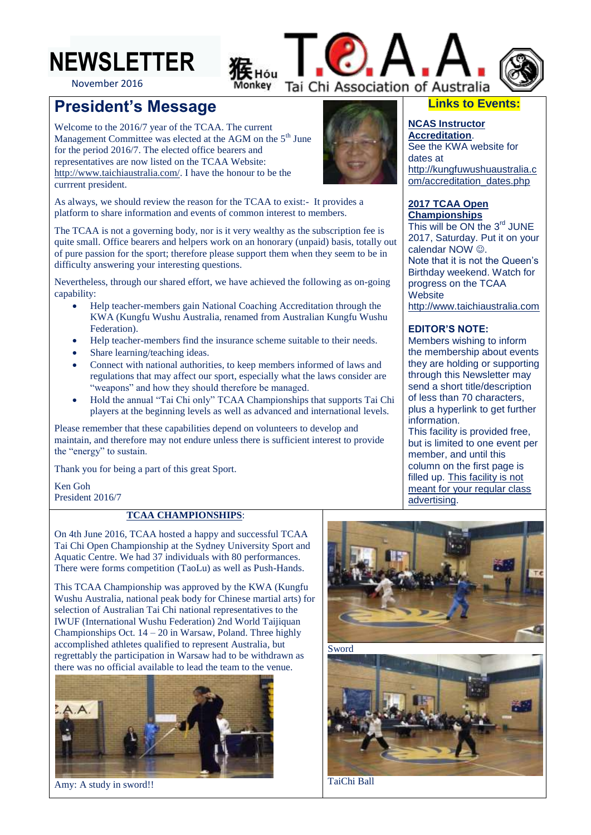

November 2016

# **President's Message**

Welcome to the 2016/7 year of the TCAA. The current Management Committee was elected at the AGM on the 5<sup>th</sup> June for the period 2016/7. The elected office bearers and representatives are now listed on the TCAA Website: [http://www.taichiaustralia.com/.](http://www.taichiaustralia.com/) I have the honour to be the currrent president.



Tai Chi Association of Australia

As always, we should review the reason for the TCAA to exist:- It provides a platform to share information and events of common interest to members.

The TCAA is not a governing body, nor is it very wealthy as the subscription fee is quite small. Office bearers and helpers work on an honorary (unpaid) basis, totally out of pure passion for the sport; therefore please support them when they seem to be in difficulty answering your interesting questions.

Nevertheless, through our shared effort, we have achieved the following as on-going capability:

- Help teacher-members gain National Coaching Accreditation through the KWA (Kungfu Wushu Australia, renamed from Australian Kungfu Wushu Federation).
- Help teacher-members find the insurance scheme suitable to their needs.
- Share learning/teaching ideas.
- Connect with national authorities, to keep members informed of laws and regulations that may affect our sport, especially what the laws consider are "weapons" and how they should therefore be managed.
- Hold the annual "Tai Chi only" TCAA Championships that supports Tai Chi players at the beginning levels as well as advanced and international levels.

Please remember that these capabilities depend on volunteers to develop and maintain, and therefore may not endure unless there is sufficient interest to provide the "energy" to sustain.

Thank you for being a part of this great Sport.

Ken Goh President 2016/7

### **TCAA CHAMPIONSHIPS**:

On 4th June 2016, TCAA hosted a happy and successful TCAA Tai Chi Open Championship at the Sydney University Sport and Aquatic Centre. We had 37 individuals with 80 performances. There were forms competition (TaoLu) as well as Push-Hands.

This TCAA Championship was approved by the KWA (Kungfu Wushu Australia, national peak body for Chinese martial arts) for selection of Australian Tai Chi national representatives to the IWUF (International Wushu Federation) 2nd World Taijiquan Championships Oct.  $14 - 20$  in Warsaw, Poland. Three highly accomplished athletes qualified to represent Australia, but regrettably the participation in Warsaw had to be withdrawn as there was no official available to lead the team to the venue.



Amy: A study in sword!!





TaiChi Ball

## **Links to Events:**

**NCAS Instructor Accreditation**. See the KWA website for dates at [http://kungfuwushuaustralia.c](http://kungfuwushuaustralia.com/accreditation_dates.php) [om/accreditation\\_dates.php](http://kungfuwushuaustralia.com/accreditation_dates.php)

#### **2017 TCAA Open Championships**

This will be ON the 3<sup>rd</sup> JUNE 2017, Saturday. Put it on your calendar NOW  $\odot$ . Note that it is not the Queen's Birthday weekend. Watch for progress on the TCAA **Website** [http://www.taichiaustralia.com](http://www.taichiaustralia.com/)

#### **EDITOR'S NOTE:**

Members wishing to inform the membership about events they are holding or supporting through this Newsletter may send a short title/description of less than 70 characters, plus a hyperlink to get further information.

This facility is provided free, but is limited to one event per member, and until this column on the first page is filled up. This facility is not meant for your regular class advertising.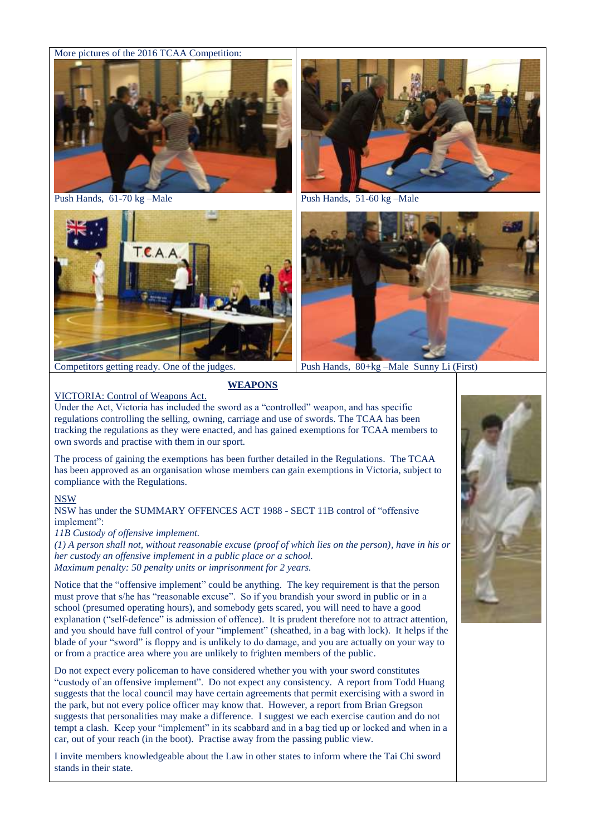#### More pictures of the 2016 TCAA Competition:



Push Hands, 61-70 kg –Male



Competitors getting ready. One of the judges.

#### VICTORIA: Control of Weapons Act.

### **WEAPONS**

Under the Act, Victoria has included the sword as a "controlled" weapon, and has specific regulations controlling the selling, owning, carriage and use of swords. The TCAA has been tracking the regulations as they were enacted, and has gained exemptions for TCAA members to own swords and practise with them in our sport.

The process of gaining the exemptions has been further detailed in the Regulations. The TCAA has been approved as an organisation whose members can gain exemptions in Victoria, subject to compliance with the Regulations.

#### NSW

NSW has under the SUMMARY OFFENCES ACT 1988 - SECT 11B control of "offensive implement":

*11B Custody of [offensive implement.](http://www.austlii.edu.au/cgi-bin/sinodisp/au/legis/nsw/consol_act/soa1988189/s11b.html#offensive_implement)*

*(1) A person shall not, without reasonable excuse (proof of which lies on the person), have in his or her custody an [offensive implement](http://www.austlii.edu.au/cgi-bin/sinodisp/au/legis/nsw/consol_act/soa1988189/s11b.html#offensive_implement) in a [public place](http://www.austlii.edu.au/au/legis/nsw/consol_act/soa1988189/s3.html#public_place?stem=0&synonyms=0&query=offensive%20implement) or a [school.](http://www.austlii.edu.au/au/legis/nsw/consol_act/soa1988189/s3.html#school?stem=0&synonyms=0&query=offensive%20implement) Maximum penalty: 50 penalty units or imprisonment for 2 years.* 

Notice that the "offensive implement" could be anything. The key requirement is that the person must prove that s/he has "reasonable excuse". So if you brandish your sword in public or in a school (presumed operating hours), and somebody gets scared, you will need to have a good explanation ("self-defence" is admission of offence). It is prudent therefore not to attract attention, and you should have full control of your "implement" (sheathed, in a bag with lock). It helps if the blade of your "sword" is floppy and is unlikely to do damage, and you are actually on your way to or from a practice area where you are unlikely to frighten members of the public.

Do not expect every policeman to have considered whether you with your sword constitutes "custody of an offensive implement". Do not expect any consistency. A report from Todd Huang suggests that the local council may have certain agreements that permit exercising with a sword in the park, but not every police officer may know that. However, a report from Brian Gregson suggests that personalities may make a difference. I suggest we each exercise caution and do not tempt a clash. Keep your "implement" in its scabbard and in a bag tied up or locked and when in a car, out of your reach (in the boot). Practise away from the passing public view.

I invite members knowledgeable about the Law in other states to inform where the Tai Chi sword stands in their state.



Push Hands, 51-60 kg –Male



Push Hands, 80+kg –Male Sunny Li (First)

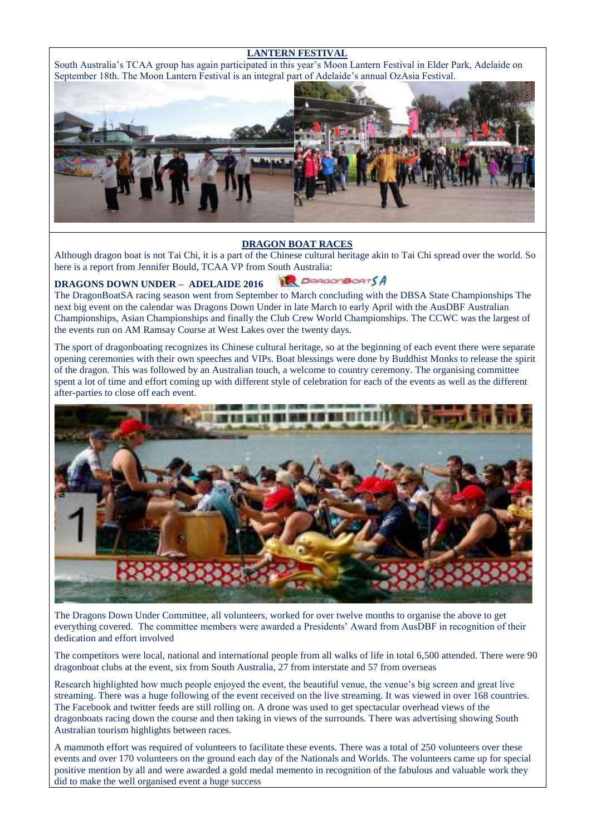#### **LANTERN FESTIVAL**

South Australia's TCAA group has again participated in this year's Moon Lantern Festival in Elder Park, Adelaide on September 18th. The Moon Lantern Festival is an integral part of Adelaide's annual OzAsia Festival.



#### **DRAGON BOAT RACES**

Although dragon boat is not Tai Chi, it is a part of the Chinese cultural heritage akin to Tai Chi spread over the world. So here is a report from Jennifer Bould, TCAA VP from South Australia:

#### **DepartMantSA DRAGONS DOWN UNDER – ADELAIDE 2016**

The DragonBoatSA racing season went from September to March concluding with the DBSA State Championships The next big event on the calendar was Dragons Down Under in late March to early April with the AusDBF Australian Championships, Asian Championships and finally the Club Crew World Championships. The CCWC was the largest of the events run on AM Ramsay Course at West Lakes over the twenty days.

The sport of dragonboating recognizes its Chinese cultural heritage, so at the beginning of each event there were separate opening ceremonies with their own speeches and VIPs. Boat blessings were done by Buddhist Monks to release the spirit of the dragon. This was followed by an Australian touch, a welcome to country ceremony. The organising committee spent a lot of time and effort coming up with different style of celebration for each of the events as well as the different after-parties to close off each event.



The Dragons Down Under Committee, all volunteers, worked for over twelve months to organise the above to get everything covered. The committee members were awarded a Presidents' Award from AusDBF in recognition of their dedication and effort involved

The competitors were local, national and international people from all walks of life in total 6,500 attended. There were 90 dragonboat clubs at the event, six from South Australia, 27 from interstate and 57 from overseas

Research highlighted how much people enjoyed the event, the beautiful venue, the venue's big screen and great live streaming. There was a huge following of the event received on the live streaming. It was viewed in over 168 countries. The Facebook and twitter feeds are still rolling on. A drone was used to get spectacular overhead views of the dragonboats racing down the course and then taking in views of the surrounds. There was advertising showing South Australian tourism highlights between races.

A mammoth effort was required of volunteers to facilitate these events. There was a total of 250 volunteers over these events and over 170 volunteers on the ground each day of the Nationals and Worlds. The volunteers came up for special positive mention by all and were awarded a gold medal memento in recognition of the fabulous and valuable work they did to make the well organised event a huge success